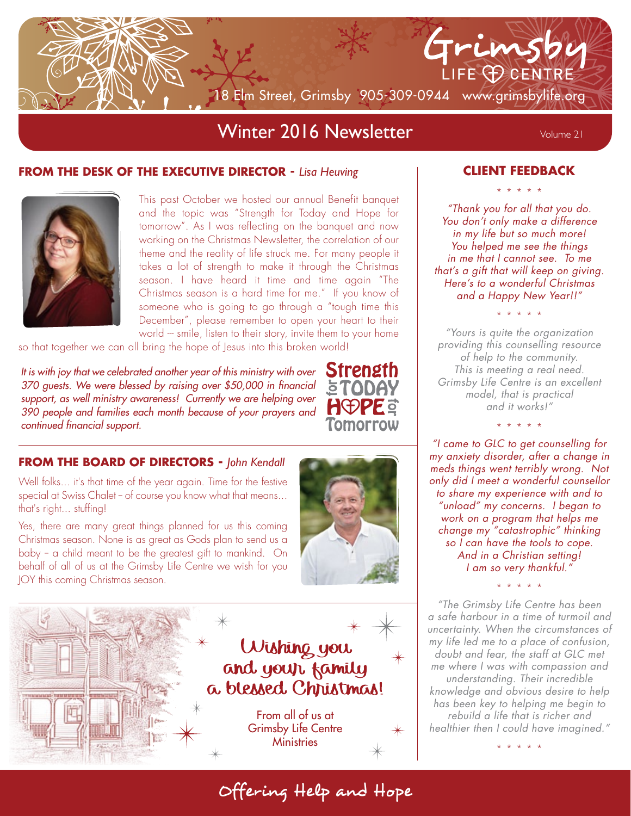

# Winter 2016 Newsletter Volume 21

#### **FROM THE DESK OF THE EXECUTIVE DIRECTOR -** *Lisa Heuving*



This past October we hosted our annual Benefit banquet and the topic was "Strength for Today and Hope for tomorrow". As I was reflecting on the banquet and now working on the Christmas Newsletter, the correlation of our theme and the reality of life struck me. For many people it takes a lot of strength to make it through the Christmas season. I have heard it time and time again "The Christmas season is a hard time for me." If you know of someone who is going to go through a "tough time this December", please remember to open your heart to their world --- smile, listen to their story, invite them to your home

so that together we can all bring the hope of Jesus into this broken world!

*It is with joy that we celebrated another year of this ministry with over 370 guests. We were blessed by raising over \$50,000 in financial support, as well ministry awareness! Currently we are helping over 390 people and families each month because of your prayers and continued financial support.*



#### **FROM THE BOARD OF DIRECTORS -** *John Kendall*

Well folks... it's that time of the year again. Time for the festive special at Swiss Chalet - of course you know what that means... that's right... stuffing!

Yes, there are many great things planned for us this coming Christmas season. None is as great as Gods plan to send us a baby -- a child meant to be the greatest gift to mankind. On behalf of all of us at the Grimsby Life Centre we wish for you JOY this coming Christmas season.



Offering Help and Hope



## **CLIENT FEEDBACK** \* \* \* \* \*

*"Thank you for all that you do. You don't only make a difference in my life but so much more! You helped me see the things in me that I cannot see. To me that's a gift that will keep on giving. Here's to a wonderful Christmas and a Happy New Year!!"*

\* \* \* \* \* *"Yours is quite the organization providing this counselling resource of help to the community. This is meeting a real need. Grimsby Life Centre is an excellent*

> *model, that is practical and it works!"* \* \* \* \* \*

*"I came to GLC to get counselling for my anxiety disorder, after a change in meds things went terribly wrong. Not only did I meet a wonderful counsellor to share my experience with and to "unload" my concerns. I began to work on a program that helps me change my "catastrophic" thinking so I can have the tools to cope. And in a Christian setting! I am so very thankful."*

\* \* \* \* \*

*"The Grimsby Life Centre has been a safe harbour in a time of turmoil and uncertainty. When the circumstances of my life led me to a place of confusion, doubt and fear, the staff at GLC met me where I was with compassion and understanding. Their incredible knowledge and obvious desire to help has been key to helping me begin to rebuild a life that is richer and healthier then I could have imagined."*

\* \* \* \* \*